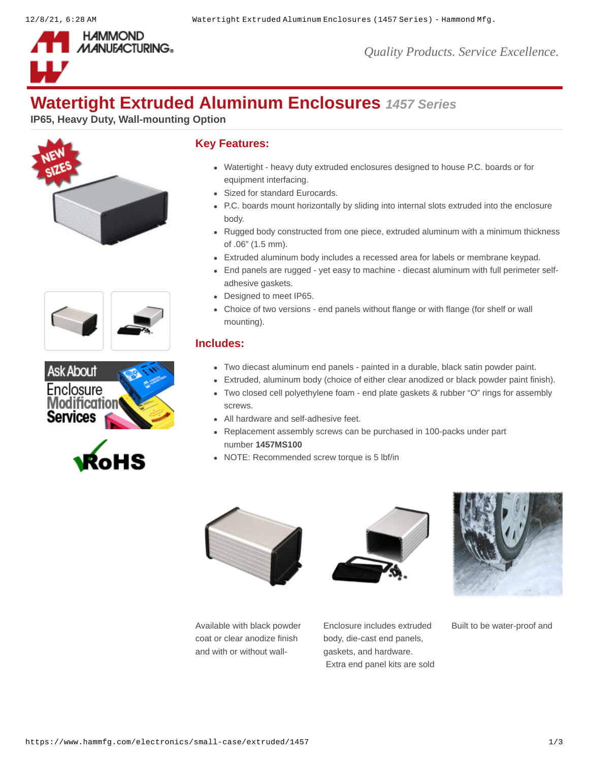

# **Watertight Extruded Aluminum Enclosures** *1457 Series*

**IP65, Heavy Duty, Wall-mounting Option**









### **Key Features:**

- Watertight heavy duty extruded enclosures designed to house P.C. boards or for equipment interfacing.
- Sized for standard Eurocards.
- P.C. boards mount horizontally by sliding into internal slots extruded into the enclosure body.
- Rugged body constructed from one piece, extruded aluminum with a minimum thickness of .06" (1.5 mm).
- Extruded aluminum body includes a recessed area for labels or membrane keypad.
- End panels are rugged yet easy to machine diecast aluminum with full perimeter selfadhesive gaskets.
- Designed to meet IP65.
- Choice of two versions end panels without flange or with flange (for shelf or wall mounting).

### **Includes:**

- Two diecast aluminum end panels painted in a durable, black satin powder paint.
- Extruded, aluminum body (choice of either clear anodized or black powder paint finish).
- Two closed cell polyethylene foam end plate gaskets & rubber "O" rings for assembly screws.
- All hardware and self-adhesive feet.
- Replacement assembly screws can be purchased in 100-packs under part number **[1457MS100](https://www.hammfg.com/part/1457MS100)**
- NOTE: Recommended screw torque is 5 lbf/in







Available with black powder coat or clear anodize finish and with or without wall-

Enclosure includes extruded body, die-cast end panels, gaskets, and hardware. Extra end panel kits are sold

Built to be water-proof and

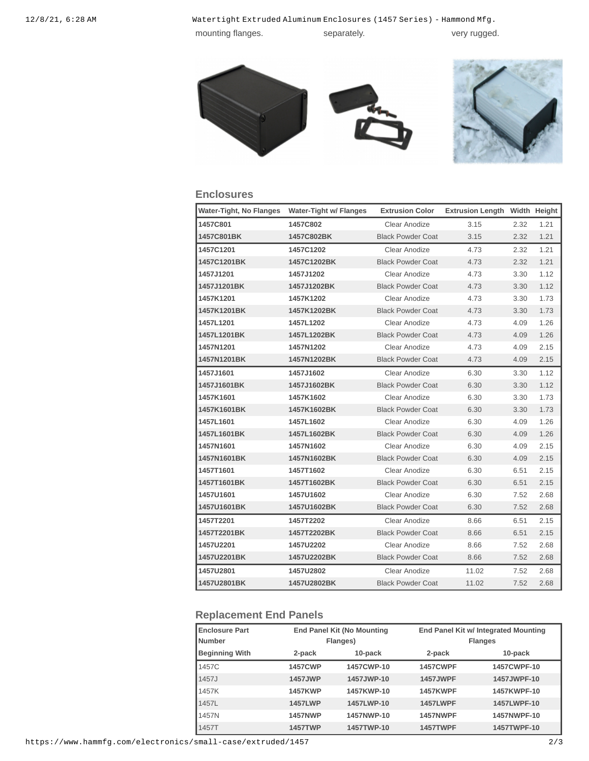12/8/21, 6:28 AM Watertight Extruded Aluminum Enclosures (1457 Series) - Hammond Mfg. mounting flanges. separately. The separately wery rugged.

### **Enclosures**

| <b>Water-Tight, No Flanges</b> | Water-Tight w/ Flanges | <b>Extrusion Color</b>   | <b>Extrusion Length Width Height</b> |      |      |
|--------------------------------|------------------------|--------------------------|--------------------------------------|------|------|
| 1457C801                       | 1457C802               | Clear Anodize            | 3.15                                 | 2.32 | 1.21 |
| 1457C801BK                     | 1457C802BK             | <b>Black Powder Coat</b> | 3.15                                 | 2.32 | 1.21 |
| 1457C1201                      | 1457C1202              | Clear Anodize            | 4.73                                 | 2.32 | 1.21 |
| 1457C1201BK                    | 1457C1202BK            | <b>Black Powder Coat</b> | 4.73                                 | 2.32 | 1.21 |
| 1457J1201                      | 1457J1202              | Clear Anodize            | 4.73                                 | 3.30 | 1.12 |
| 1457J1201BK                    | 1457J1202BK            | <b>Black Powder Coat</b> | 4.73                                 | 3.30 | 1.12 |
| 1457K1201                      | 1457K1202              | Clear Anodize            | 4.73                                 | 3.30 | 1.73 |
| 1457K1201BK                    | 1457K1202BK            | <b>Black Powder Coat</b> | 4.73                                 | 3.30 | 1.73 |
| 1457L1201                      | 1457L1202              | Clear Anodize            | 4.73                                 | 4.09 | 1.26 |
| 1457L1201BK                    | 1457L1202BK            | <b>Black Powder Coat</b> | 4.73                                 | 4.09 | 1.26 |
| 1457N1201                      | 1457N1202              | Clear Anodize            | 4.73                                 | 4.09 | 2.15 |
| 1457N1201BK                    | 1457N1202BK            | <b>Black Powder Coat</b> | 4.73                                 | 4.09 | 2.15 |
| 1457J1601                      | 1457J1602              | Clear Anodize            | 6.30                                 | 3.30 | 1.12 |
| 1457J1601BK                    | 1457J1602BK            | <b>Black Powder Coat</b> | 6.30                                 | 3.30 | 1.12 |
| 1457K1601                      | 1457K1602              | Clear Anodize            | 6.30                                 | 3.30 | 1.73 |
| 1457K1601BK                    | 1457K1602BK            | <b>Black Powder Coat</b> | 6.30                                 | 3.30 | 1.73 |
| 1457L1601                      | 1457L1602              | Clear Anodize            | 6.30                                 | 4.09 | 1.26 |
| 1457L1601BK                    | 1457L1602BK            | <b>Black Powder Coat</b> | 6.30                                 | 4.09 | 1.26 |
| 1457N1601                      | 1457N1602              | Clear Anodize            | 6.30                                 | 4.09 | 2.15 |
| 1457N1601BK                    | 1457N1602BK            | <b>Black Powder Coat</b> | 6.30                                 | 4.09 | 2.15 |
| 1457T1601                      | 1457T1602              | Clear Anodize            | 6.30                                 | 6.51 | 2.15 |
| 1457T1601BK                    | 1457T1602BK            | <b>Black Powder Coat</b> | 6.30                                 | 6.51 | 2.15 |
| 1457U1601                      | 1457U1602              | Clear Anodize            | 6.30                                 | 7.52 | 2.68 |
| 1457U1601BK                    | 1457U1602BK            | <b>Black Powder Coat</b> | 6.30                                 | 7.52 | 2.68 |
| 1457T2201                      | 1457T2202              | Clear Anodize            | 8.66                                 | 6.51 | 2.15 |
| 1457T2201BK                    | 1457T2202BK            | <b>Black Powder Coat</b> | 8.66                                 | 6.51 | 2.15 |
| 1457U2201                      | 1457U2202              | Clear Anodize            | 8.66                                 | 7.52 | 2.68 |
| 1457U2201BK                    | 1457U2202BK            | <b>Black Powder Coat</b> | 8.66                                 | 7.52 | 2.68 |
| 1457U2801                      | 1457U2802              | Clear Anodize            | 11.02                                | 7.52 | 2.68 |
| 1457U2801BK                    | 1457U2802BK            | <b>Black Powder Coat</b> | 11.02                                | 7.52 | 2.68 |

## **Replacement End Panels**

| <b>Enclosure Part</b><br>l Number | <b>End Panel Kit (No Mounting</b><br>Flanges) |            |                 | End Panel Kit w/ Integrated Mounting<br><b>Flanges</b> |  |  |
|-----------------------------------|-----------------------------------------------|------------|-----------------|--------------------------------------------------------|--|--|
| <b>Beginning With</b>             | 2-pack                                        | 10-pack    | 2-pack          | 10-pack                                                |  |  |
| 1457C                             | <b>1457CWP</b>                                | 1457CWP-10 | <b>1457CWPF</b> | 1457CWPF-10                                            |  |  |
| 1457J                             | 1457JWP                                       | 1457JWP-10 | 1457JWPF        | 1457JWPF-10                                            |  |  |
| 1457K                             | <b>1457KWP</b>                                | 1457KWP-10 | <b>1457KWPF</b> | 1457KWPF-10                                            |  |  |
| 1457L                             | <b>1457LWP</b>                                | 1457LWP-10 | <b>1457LWPF</b> | 1457LWPF-10                                            |  |  |
| 1457N                             | <b>1457NWP</b>                                | 1457NWP-10 | <b>1457NWPF</b> | 1457NWPF-10                                            |  |  |
| <b>1457T</b>                      | <b>1457TWP</b>                                | 1457TWP-10 | <b>1457TWPF</b> | 1457TWPF-10                                            |  |  |

https://www.hammfg.com/electronics/small-case/extruded/1457 2/3